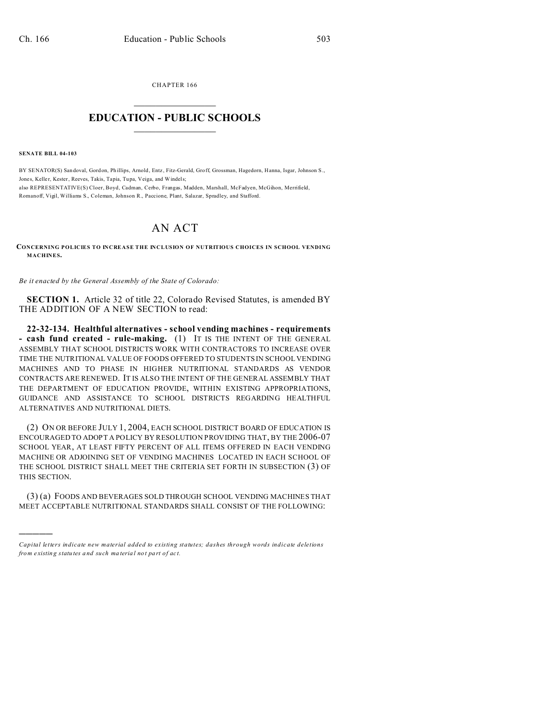CHAPTER 166  $\overline{\phantom{a}}$  , where  $\overline{\phantom{a}}$ 

## **EDUCATION - PUBLIC SCHOOLS**  $\_$   $\_$   $\_$   $\_$   $\_$   $\_$   $\_$   $\_$   $\_$

**SENATE BILL 04-103**

)))))

BY SENATOR(S) San doval, Gordon, Phillips, Arnold, Entz, Fitz-Gerald, Groff, Grossman, Hagedorn, Hanna, Isgar, Johnson S., Jones, Keller, Kester, Reeves, Takis, Tapia, Tupa, Veiga, and Windels; also REPRESENTATIVE(S) Cloer, Boyd, Cadman, Cerbo, Frangas, Madden, Marshall, McFadyen, McGihon, Merrifield, Romanoff, Vigil, Williams S., Coleman, Johnson R., Paccione, Plant, Salazar, Spradley, and Stafford.

## AN ACT

**CONCERNING POLICIES TO INCREASE THE INCLUSION OF NUTRITIOUS CHOICES IN SCHOOL VENDING MACHINES.**

*Be it enacted by the General Assembly of the State of Colorado:*

**SECTION 1.** Article 32 of title 22, Colorado Revised Statutes, is amended BY THE ADDITION OF A NEW SECTION to read:

**22-32-134. Healthful alternatives - school vending machines - requirements - cash fund created - rule-making.** (1) IT IS THE INTENT OF THE GENERAL ASSEMBLY THAT SCHOOL DISTRICTS WORK WITH CONTRACTORS TO INCREASE OVER TIME THE NUTRITIONAL VALUE OF FOODS OFFERED TO STUDENTS IN SCHOOL VENDING MACHINES AND TO PHASE IN HIGHER NUTRITIONAL STANDARDS AS VENDOR CONTRACTS ARE RENEWED. IT IS ALSO THE INTENT OF THE GENERAL ASSEMBLY THAT THE DEPARTMENT OF EDUCATION PROVIDE, WITHIN EXISTING APPROPRIATIONS, GUIDANCE AND ASSISTANCE TO SCHOOL DISTRICTS REGARDING HEALTHFUL ALTERNATIVES AND NUTRITIONAL DIETS.

(2) ON OR BEFORE JULY 1, 2004, EACH SCHOOL DISTRICT BOARD OF EDUCATION IS ENCOURAGED TO ADOPT A POLICY BY RESOLUTION PROVIDING THAT, BY THE 2006-07 SCHOOL YEAR, AT LEAST FIFTY PERCENT OF ALL ITEMS OFFERED IN EACH VENDING MACHINE OR ADJOINING SET OF VENDING MACHINES LOCATED IN EACH SCHOOL OF THE SCHOOL DISTRICT SHALL MEET THE CRITERIA SET FORTH IN SUBSECTION (3) OF THIS SECTION.

(3) (a) FOODS AND BEVERAGES SOLD THROUGH SCHOOL VENDING MACHINES THAT MEET ACCEPTABLE NUTRITIONAL STANDARDS SHALL CONSIST OF THE FOLLOWING:

*Capital letters indicate new material added to existing statutes; dashes through words indicate deletions from e xistin g statu tes a nd such ma teria l no t pa rt of ac t.*